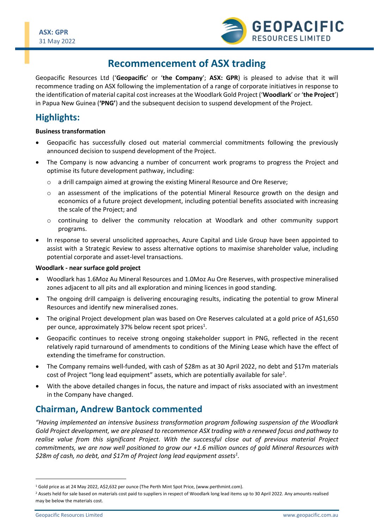

# **Recommencement of ASX trading**

Geopacific Resources Ltd ('**Geopacific**' or '**the Company**'; **ASX: GPR**) is pleased to advise that it will recommence trading on ASX following the implementation of a range of corporate initiatives in response to the identification of material capital cost increases at the Woodlark Gold Project ('**Woodlark**' or '**the Project**') in Papua New Guinea (**'PNG'**) and the subsequent decision to suspend development of the Project.

# **Highlights:**

#### **Business transformation**

- Geopacific has successfully closed out material commercial commitments following the previously announced decision to suspend development of the Project.
- The Company is now advancing a number of concurrent work programs to progress the Project and optimise its future development pathway, including:
	- o a drill campaign aimed at growing the existing Mineral Resource and Ore Reserve;
	- $\circ$  an assessment of the implications of the potential Mineral Resource growth on the design and economics of a future project development, including potential benefits associated with increasing the scale of the Project; and
	- $\circ$  continuing to deliver the community relocation at Woodlark and other community support programs.
- In response to several unsolicited approaches, Azure Capital and Lisle Group have been appointed to assist with a Strategic Review to assess alternative options to maximise shareholder value, including potential corporate and asset-level transactions.

#### **Woodlark - near surface gold project**

- Woodlark has 1.6Moz Au Mineral Resources and 1.0Moz Au Ore Reserves, with prospective mineralised zones adjacent to all pits and all exploration and mining licences in good standing.
- The ongoing drill campaign is delivering encouraging results, indicating the potential to grow Mineral Resources and identify new mineralised zones.
- The original Project development plan was based on Ore Reserves calculated at a gold price of A\$1,650 per ounce, approximately 37% below recent spot prices<sup>1</sup>.
- Geopacific continues to receive strong ongoing stakeholder support in PNG, reflected in the recent relatively rapid turnaround of amendments to conditions of the Mining Lease which have the effect of extending the timeframe for construction.
- The Company remains well-funded, with cash of \$28m as at 30 April 2022, no debt and \$17m materials cost of Project "long lead equipment" assets, which are potentially available for sale<sup>2</sup>.
- With the above detailed changes in focus, the nature and impact of risks associated with an investment in the Company have changed.

## **Chairman, Andrew Bantock commented**

*"Having implemented an intensive business transformation program following suspension of the Woodlark Gold Project development, we are pleased to recommence ASX trading with a renewed focus and pathway to realise value from this significant Project. With the successful close out of previous material Project commitments, we are now well positioned to grow our +1.6 million ounces of gold Mineral Resources with \$28m of cash, no debt, and \$17m of Project long lead equipment assets<sup>1</sup> .*

<sup>&</sup>lt;sup>1</sup> Gold price as at 24 May 2022, A\$2,632 per ounce (The Perth Mint Spot Price, (www.perthmint.com).

<sup>&</sup>lt;sup>2</sup> Assets held for sale based on materials cost paid to suppliers in respect of Woodlark long lead items up to 30 April 2022. Any amounts realised may be below the materials cost.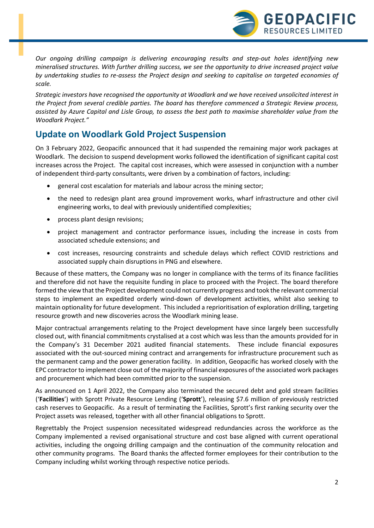*Our ongoing drilling campaign is delivering encouraging results and step-out holes identifying new mineralised structures. With further drilling success, we see the opportunity to drive increased project value by undertaking studies to re-assess the Project design and seeking to capitalise on targeted economies of scale.* 

*Strategic investors have recognised the opportunity at Woodlark and we have received unsolicited interest in the Project from several credible parties. The board has therefore commenced a Strategic Review process, assisted by Azure Capital and Lisle Group, to assess the best path to maximise shareholder value from the Woodlark Project."*

# **Update on Woodlark Gold Project Suspension**

On 3 February 2022, Geopacific announced that it had suspended the remaining major work packages at Woodlark. The decision to suspend development works followed the identification of significant capital cost increases across the Project. The capital cost increases, which were assessed in conjunction with a number of independent third-party consultants, were driven by a combination of factors, including:

- general cost escalation for materials and labour across the mining sector;
- the need to redesign plant area ground improvement works, wharf infrastructure and other civil engineering works, to deal with previously unidentified complexities;
- process plant design revisions;
- project management and contractor performance issues, including the increase in costs from associated schedule extensions; and
- cost increases, resourcing constraints and schedule delays which reflect COVID restrictions and associated supply chain disruptions in PNG and elsewhere.

Because of these matters, the Company was no longer in compliance with the terms of its finance facilities and therefore did not have the requisite funding in place to proceed with the Project. The board therefore formed the view that the Project development could not currently progress and took the relevant commercial steps to implement an expedited orderly wind-down of development activities, whilst also seeking to maintain optionality for future development. This included a reprioritisation of exploration drilling, targeting resource growth and new discoveries across the Woodlark mining lease.

Major contractual arrangements relating to the Project development have since largely been successfully closed out, with financial commitments crystalised at a cost which was less than the amounts provided for in the Company's 31 December 2021 audited financial statements. These include financial exposures associated with the out-sourced mining contract and arrangements for infrastructure procurement such as the permanent camp and the power generation facility. In addition, Geopacific has worked closely with the EPC contractor to implement close out of the majority of financial exposures of the associated work packages and procurement which had been committed prior to the suspension.

As announced on 1 April 2022, the Company also terminated the secured debt and gold stream facilities ('**Facilities**') with Sprott Private Resource Lending ('**Sprott**'), releasing \$7.6 million of previously restricted cash reserves to Geopacific. As a result of terminating the Facilities, Sprott's first ranking security over the Project assets was released, together with all other financial obligations to Sprott.

Regrettably the Project suspension necessitated widespread redundancies across the workforce as the Company implemented a revised organisational structure and cost base aligned with current operational activities, including the ongoing drilling campaign and the continuation of the community relocation and other community programs. The Board thanks the affected former employees for their contribution to the Company including whilst working through respective notice periods.

**GEOPACIFIC** 

RESOURCES LIMITED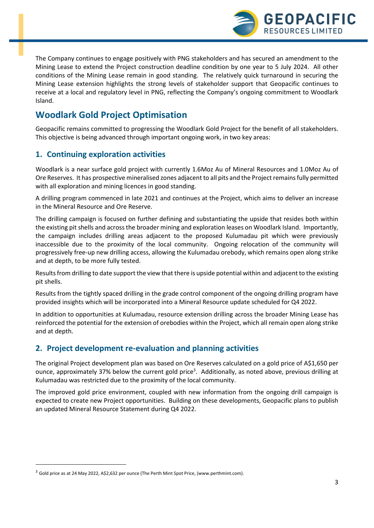

The Company continues to engage positively with PNG stakeholders and has secured an amendment to the Mining Lease to extend the Project construction deadline condition by one year to 5 July 2024. All other conditions of the Mining Lease remain in good standing. The relatively quick turnaround in securing the Mining Lease extension highlights the strong levels of stakeholder support that Geopacific continues to receive at a local and regulatory level in PNG, reflecting the Company's ongoing commitment to Woodlark Island.

# **Woodlark Gold Project Optimisation**

Geopacific remains committed to progressing the Woodlark Gold Project for the benefit of all stakeholders. This objective is being advanced through important ongoing work, in two key areas:

### **1. Continuing exploration activities**

Woodlark is a near surface gold project with currently 1.6Moz Au of Mineral Resources and 1.0Moz Au of Ore Reserves. It has prospective mineralised zones adjacent to all pits and the Project remains fully permitted with all exploration and mining licences in good standing.

A drilling program commenced in late 2021 and continues at the Project, which aims to deliver an increase in the Mineral Resource and Ore Reserve.

The drilling campaign is focused on further defining and substantiating the upside that resides both within the existing pit shells and across the broader mining and exploration leases on Woodlark Island. Importantly, the campaign includes drilling areas adjacent to the proposed Kulumadau pit which were previously inaccessible due to the proximity of the local community. Ongoing relocation of the community will progressively free-up new drilling access, allowing the Kulumadau orebody, which remains open along strike and at depth, to be more fully tested.

Results from drilling to date support the view that there is upside potential within and adjacent to the existing pit shells.

Results from the tightly spaced drilling in the grade control component of the ongoing drilling program have provided insights which will be incorporated into a Mineral Resource update scheduled for Q4 2022.

In addition to opportunities at Kulumadau, resource extension drilling across the broader Mining Lease has reinforced the potential for the extension of orebodies within the Project, which all remain open along strike and at depth.

### **2. Project development re-evaluation and planning activities**

The original Project development plan was based on Ore Reserves calculated on a gold price of A\$1,650 per ounce, approximately 37% below the current gold price<sup>3</sup>. Additionally, as noted above, previous drilling at Kulumadau was restricted due to the proximity of the local community.

The improved gold price environment, coupled with new information from the ongoing drill campaign is expected to create new Project opportunities. Building on these developments, Geopacific plans to publish an updated Mineral Resource Statement during Q4 2022.

<sup>&</sup>lt;sup>3</sup> Gold price as at 24 May 2022, A\$2,632 per ounce (The Perth Mint Spot Price, (www.perthmint.com).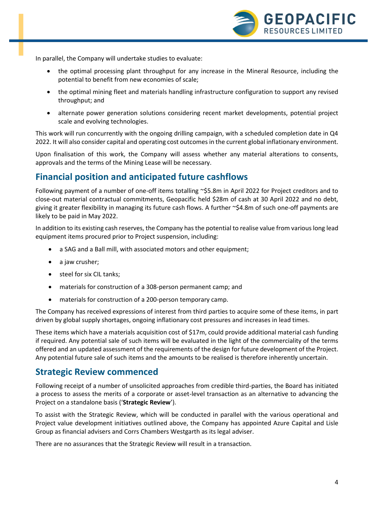

In parallel, the Company will undertake studies to evaluate:

- the optimal processing plant throughput for any increase in the Mineral Resource, including the potential to benefit from new economies of scale;
- the optimal mining fleet and materials handling infrastructure configuration to support any revised throughput; and
- alternate power generation solutions considering recent market developments, potential project scale and evolving technologies.

This work will run concurrently with the ongoing drilling campaign, with a scheduled completion date in Q4 2022. It will also consider capital and operating cost outcomes in the current global inflationary environment.

Upon finalisation of this work, the Company will assess whether any material alterations to consents, approvals and the terms of the Mining Lease will be necessary.

## **Financial position and anticipated future cashflows**

Following payment of a number of one-off items totalling ~\$5.8m in April 2022 for Project creditors and to close-out material contractual commitments, Geopacific held \$28m of cash at 30 April 2022 and no debt, giving it greater flexibility in managing its future cash flows. A further ~\$4.8m of such one-off payments are likely to be paid in May 2022.

In addition to its existing cash reserves, the Company has the potential to realise value from various long lead equipment items procured prior to Project suspension, including:

- a SAG and a Ball mill, with associated motors and other equipment;
- a jaw crusher;
- steel for six CIL tanks:
- materials for construction of a 308-person permanent camp; and
- materials for construction of a 200-person temporary camp.

The Company has received expressions of interest from third parties to acquire some of these items, in part driven by global supply shortages, ongoing inflationary cost pressures and increases in lead times.

These items which have a materials acquisition cost of \$17m, could provide additional material cash funding if required. Any potential sale of such items will be evaluated in the light of the commerciality of the terms offered and an updated assessment of the requirements of the design for future development of the Project. Any potential future sale of such items and the amounts to be realised is therefore inherently uncertain.

### **Strategic Review commenced**

Following receipt of a number of unsolicited approaches from credible third-parties, the Board has initiated a process to assess the merits of a corporate or asset-level transaction as an alternative to advancing the Project on a standalone basis ('**Strategic Review**').

To assist with the Strategic Review, which will be conducted in parallel with the various operational and Project value development initiatives outlined above, the Company has appointed Azure Capital and Lisle Group as financial advisers and Corrs Chambers Westgarth as its legal adviser.

There are no assurances that the Strategic Review will result in a transaction.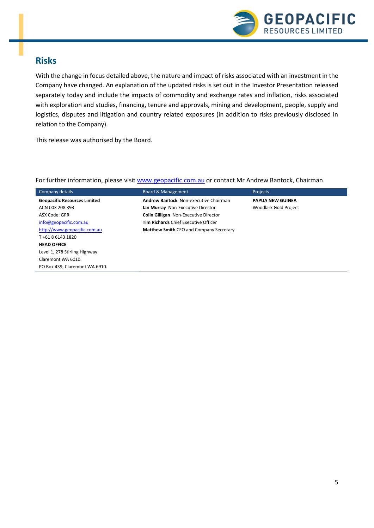

### **Risks**

With the change in focus detailed above, the nature and impact of risks associated with an investment in the Company have changed. An explanation of the updated risks is set out in the Investor Presentation released separately today and include the impacts of commodity and exchange rates and inflation, risks associated with exploration and studies, financing, tenure and approvals, mining and development, people, supply and logistics, disputes and litigation and country related exposures (in addition to risks previously disclosed in relation to the Company).

This release was authorised by the Board.

#### For further information, please visit [www.geopacific.com.au](http://www.geopacific.com.au/) or contact Mr Andrew Bantock, Chairman.

| Company details                     | <b>Board &amp; Management</b>                  | Projects                     |
|-------------------------------------|------------------------------------------------|------------------------------|
| <b>Geopacific Resources Limited</b> | Andrew Bantock Non-executive Chairman          | <b>PAPUA NEW GUINEA</b>      |
| ACN 003 208 393                     | Ian Murray Non-Executive Director              | <b>Woodlark Gold Project</b> |
| ASX Code: GPR                       | <b>Colin Gilligan</b> Non-Executive Director   |                              |
| info@geopacific.com.au              | <b>Tim Richards Chief Executive Officer</b>    |                              |
| http://www.geopacific.com.au        | <b>Matthew Smith CFO and Company Secretary</b> |                              |
| T+61861431820                       |                                                |                              |
| <b>HEAD OFFICE</b>                  |                                                |                              |
| Level 1, 278 Stirling Highway       |                                                |                              |
| Claremont WA 6010.                  |                                                |                              |
| PO Box 439. Claremont WA 6910.      |                                                |                              |